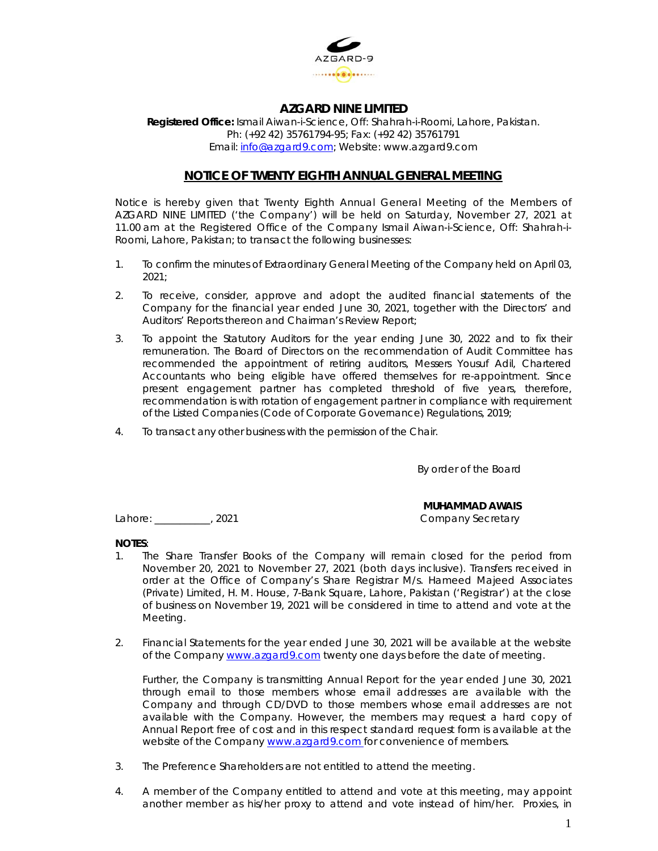

# **AZGARD NINE LIMITED**

**Registered Office:** Ismail Aiwan-i-Science, Off: Shahrah-i-Roomi, Lahore, Pakistan. Ph: (+92 42) 35761794-95; Fax: (+92 42) 35761791 Email: info@azgard9.com; Website: www.azgard9.com

## **NOTICE OF TWENTY EIGHTH ANNUAL GENERAL MEETING**

Notice is hereby given that Twenty Eighth Annual General Meeting of the Members of AZGARD NINE LIMITED ('the Company') will be held on Saturday, November 27, 2021 at 11.00 am at the Registered Office of the Company Ismail Aiwan-i-Science, Off: Shahrah-i-Roomi, Lahore, Pakistan; to transact the following businesses:

- 1. To confirm the minutes of Extraordinary General Meeting of the Company held on April 03, 2021;
- 2. To receive, consider, approve and adopt the audited financial statements of the Company for the financial year ended June 30, 2021, together with the Directors' and Auditors' Reports thereon and Chairman's Review Report;
- 3. To appoint the Statutory Auditors for the year ending June 30, 2022 and to fix their remuneration. The Board of Directors on the recommendation of Audit Committee has recommended the appointment of retiring auditors, Messers Yousuf Adil, Chartered Accountants who being eligible have offered themselves for re-appointment. Since present engagement partner has completed threshold of five years, therefore, recommendation is with rotation of engagement partner in compliance with requirement of the Listed Companies (Code of Corporate Governance) Regulations, 2019;
- 4. To transact any other business with the permission of the Chair.

By order of the Board

#### **MUHAMMAD AWAIS**

Lahore: 2021 2021 Company Secretary

## **NOTES**:

- 1. The Share Transfer Books of the Company will remain closed for the period from November 20, 2021 to November 27, 2021 (both days inclusive). Transfers received in order at the Office of Company's Share Registrar M/s. Hameed Majeed Associates (Private) Limited, H. M. House, 7-Bank Square, Lahore, Pakistan ('Registrar') at the close of business on November 19, 2021 will be considered in time to attend and vote at the Meeting.
- 2. Financial Statements for the year ended June 30, 2021 will be available at the website of the Company www.azgard9.com twenty one days before the date of meeting.

 Further, the Company is transmitting Annual Report for the year ended June 30, 2021 through email to those members whose email addresses are available with the Company and through CD/DVD to those members whose email addresses are not available with the Company. However, the members may request a hard copy of Annual Report free of cost and in this respect standard request form is available at the website of the Company www.azgard9.com for convenience of members.

- 3. The Preference Shareholders are not entitled to attend the meeting.
- 4. A member of the Company entitled to attend and vote at this meeting, may appoint another member as his/her proxy to attend and vote instead of him/her. Proxies, in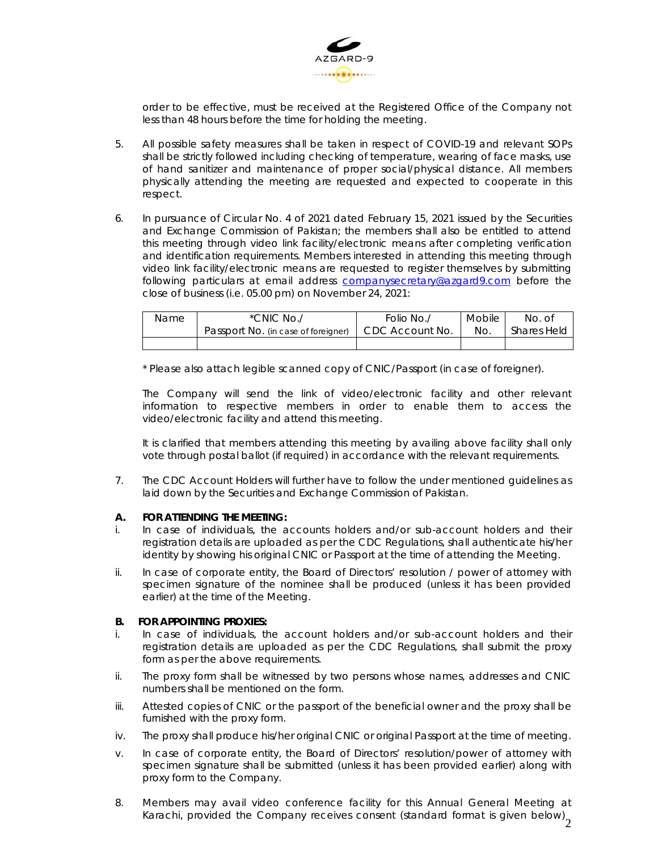

order to be effective, must be received at the Registered Office of the Company not less than 48 hours before the time for holding the meeting.

- 5. All possible safety measures shall be taken in respect of COVID-19 and relevant SOPs shall be strictly followed including checking of temperature, wearing of face masks, use of hand sanitizer and maintenance of proper social/physical distance. All members physically attending the meeting are requested and expected to cooperate in this respect.
- 6. In pursuance of Circular No. 4 of 2021 dated February 15, 2021 issued by the Securities and Exchange Commission of Pakistan; the members shall also be entitled to attend this meeting through video link facility/electronic means after completing verification and identification requirements. Members interested in attending this meeting through video link facility/electronic means are requested to register themselves by submitting following particulars at email address companysecretary@azgard9.com before the close of business (i.e. 05.00 pm) on November 24, 2021:

| Name | *CNIC No./                          | Folio No./      | Mobile | No. of             |
|------|-------------------------------------|-----------------|--------|--------------------|
|      | Passport No. (in case of foreigner) | CDC Account No. | No.    | <b>Shares Held</b> |
|      |                                     |                 |        |                    |

\* Please also attach legible scanned copy of CNIC/Passport (in case of foreigner).

 The Company will send the link of video/electronic facility and other relevant information to respective members in order to enable them to access the video/electronic facility and attend this meeting.

It is clarified that members attending this meeting by availing above facility shall only vote through postal ballot (if required) in accordance with the relevant requirements.

7. The CDC Account Holders will further have to follow the under mentioned guidelines as laid down by the Securities and Exchange Commission of Pakistan.

## **A. FOR ATTENDING THE MEETING:**

- i. In case of individuals, the accounts holders and/or sub-account holders and their registration details are uploaded as per the CDC Regulations, shall authenticate his/her identity by showing his original CNIC or Passport at the time of attending the Meeting.
- ii. In case of corporate entity, the Board of Directors' resolution / power of attorney with specimen signature of the nominee shall be produced (unless it has been provided earlier) at the time of the Meeting.

#### **B. FOR APPOINTING PROXIES:**

- i. In case of individuals, the account holders and/or sub-account holders and their registration details are uploaded as per the CDC Regulations, shall submit the proxy form as per the above requirements.
- ii. The proxy form shall be witnessed by two persons whose names, addresses and CNIC numbers shall be mentioned on the form.
- iii. Attested copies of CNIC or the passport of the beneficial owner and the proxy shall be furnished with the proxy form.
- iv. The proxy shall produce his/her original CNIC or original Passport at the time of meeting.
- v. In case of corporate entity, the Board of Directors' resolution/power of attorney with specimen signature shall be submitted (unless it has been provided earlier) along with proxy form to the Company.
- Karachi, provided the Company receives consent (standard format is given below) $_2^{\,2}$ 8. Members may avail video conference facility for this Annual General Meeting at